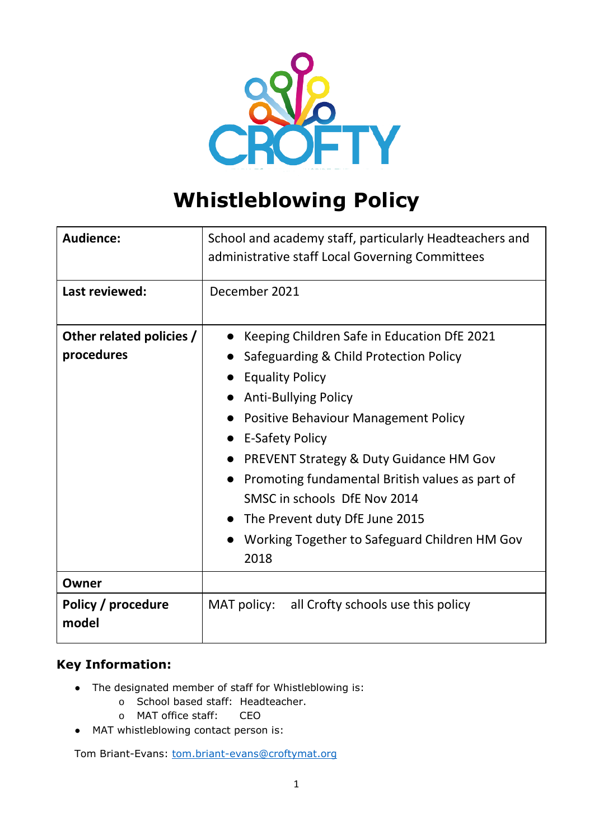

# **Whistleblowing Policy**

| Audience:                              | School and academy staff, particularly Headteachers and<br>administrative staff Local Governing Committees                                                                                                                                                                                                                                                                                                                                                                       |
|----------------------------------------|----------------------------------------------------------------------------------------------------------------------------------------------------------------------------------------------------------------------------------------------------------------------------------------------------------------------------------------------------------------------------------------------------------------------------------------------------------------------------------|
| Last reviewed:                         | December 2021                                                                                                                                                                                                                                                                                                                                                                                                                                                                    |
| Other related policies /<br>procedures | Keeping Children Safe in Education DfE 2021<br>Safeguarding & Child Protection Policy<br><b>Equality Policy</b><br><b>Anti-Bullying Policy</b><br>Positive Behaviour Management Policy<br><b>E-Safety Policy</b><br>$\bullet$<br>PREVENT Strategy & Duty Guidance HM Gov<br>Promoting fundamental British values as part of<br>$\bullet$<br>SMSC in schools DfE Nov 2014<br>The Prevent duty DfE June 2015<br>$\bullet$<br>Working Together to Safeguard Children HM Gov<br>2018 |
| Owner                                  |                                                                                                                                                                                                                                                                                                                                                                                                                                                                                  |
| Policy / procedure<br>model            | MAT policy: all Crofty schools use this policy                                                                                                                                                                                                                                                                                                                                                                                                                                   |

## **Key Information:**

- The designated member of staff for Whistleblowing is:
	- o School based staff: Headteacher.
	- o MAT office staff: CEO
- MAT whistleblowing contact person is:

Tom Briant-Evans: [tom.briant-evans@croftymat.org](mailto:tom.briant-evans@croftymat.org)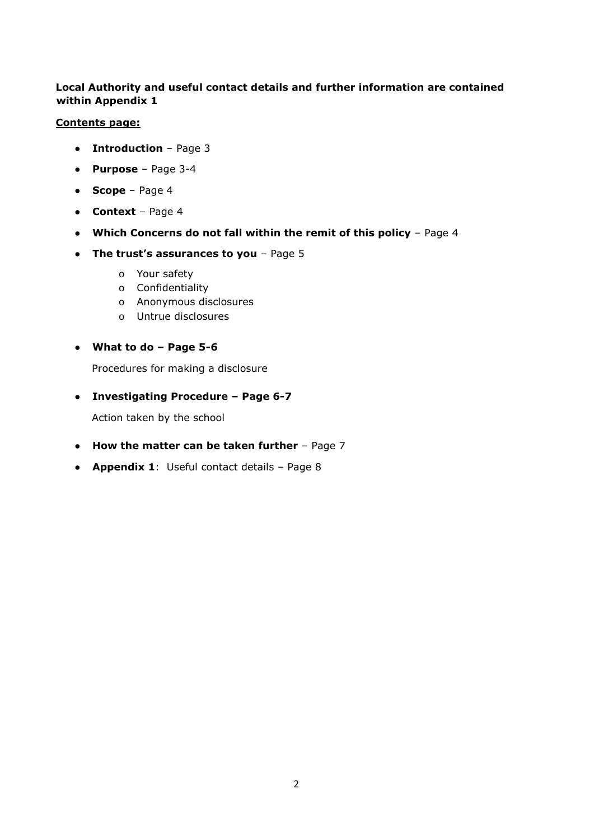#### **Local Authority and useful contact details and further information are contained within Appendix 1**

#### **Contents page:**

- **Introduction** Page 3
- **Purpose** Page 3-4
- **Scope** Page 4
- **Context** Page 4
- **Which Concerns do not fall within the remit of this policy**  Page 4
- **The trust's assurances to you** Page 5
	- o Your safety
	- o Confidentiality
	- o Anonymous disclosures
	- o Untrue disclosures
- **What to do – Page 5-6**

Procedures for making a disclosure

● **Investigating Procedure – Page 6-7**

Action taken by the school

- **How the matter can be taken further** Page 7
- **Appendix 1**: Useful contact details Page 8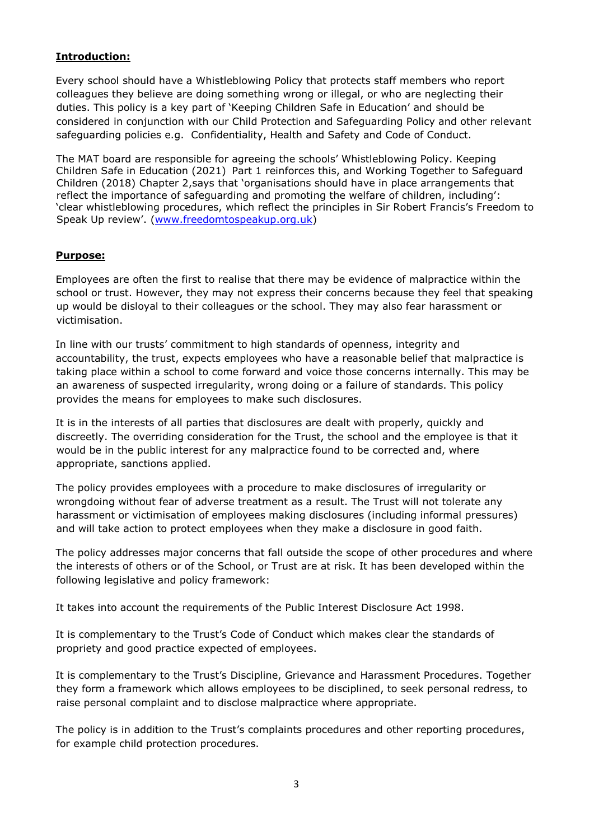#### **Introduction:**

Every school should have a Whistleblowing Policy that protects staff members who report colleagues they believe are doing something wrong or illegal, or who are neglecting their duties. This policy is a key part of 'Keeping Children Safe in Education' and should be considered in conjunction with our Child Protection and Safeguarding Policy and other relevant safeguarding policies e.g. Confidentiality, Health and Safety and Code of Conduct.

The MAT board are responsible for agreeing the schools' Whistleblowing Policy. Keeping Children Safe in Education (2021) Part 1 reinforces this, and Working Together to Safeguard Children (2018) Chapter 2,says that 'organisations should have in place arrangements that reflect the importance of safeguarding and promoting the welfare of children, including': 'clear whistleblowing procedures, which reflect the principles in Sir Robert Francis's Freedom to Speak Up review'. ([www.freedomtospeakup.org.uk\)](http://www.freedomtospeakup.org.uk/)

#### **Purpose:**

Employees are often the first to realise that there may be evidence of malpractice within the school or trust. However, they may not express their concerns because they feel that speaking up would be disloyal to their colleagues or the school. They may also fear harassment or victimisation.

In line with our trusts' commitment to high standards of openness, integrity and accountability, the trust, expects employees who have a reasonable belief that malpractice is taking place within a school to come forward and voice those concerns internally. This may be an awareness of suspected irregularity, wrong doing or a failure of standards. This policy provides the means for employees to make such disclosures.

It is in the interests of all parties that disclosures are dealt with properly, quickly and discreetly. The overriding consideration for the Trust, the school and the employee is that it would be in the public interest for any malpractice found to be corrected and, where appropriate, sanctions applied.

The policy provides employees with a procedure to make disclosures of irregularity or wrongdoing without fear of adverse treatment as a result. The Trust will not tolerate any harassment or victimisation of employees making disclosures (including informal pressures) and will take action to protect employees when they make a disclosure in good faith.

The policy addresses major concerns that fall outside the scope of other procedures and where the interests of others or of the School, or Trust are at risk. It has been developed within the following legislative and policy framework:

It takes into account the requirements of the Public Interest Disclosure Act 1998.

It is complementary to the Trust's Code of Conduct which makes clear the standards of propriety and good practice expected of employees.

It is complementary to the Trust's Discipline, Grievance and Harassment Procedures. Together they form a framework which allows employees to be disciplined, to seek personal redress, to raise personal complaint and to disclose malpractice where appropriate.

The policy is in addition to the Trust's complaints procedures and other reporting procedures, for example child protection procedures.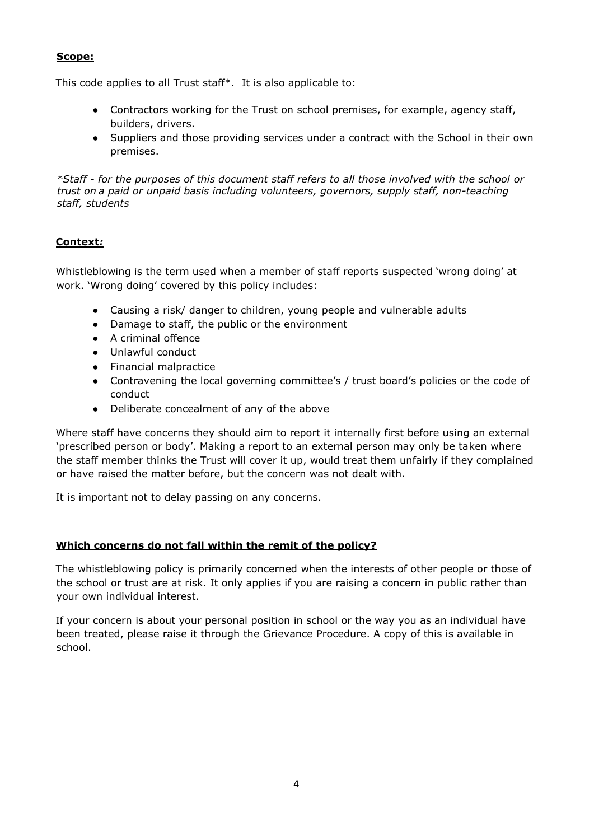#### **Scope:**

This code applies to all Trust staff\*. It is also applicable to:

- Contractors working for the Trust on school premises, for example, agency staff, builders, drivers.
- Suppliers and those providing services under a contract with the School in their own premises.

*\*Staff - for the purposes of this document staff refers to all those involved with the school or trust on a paid or unpaid basis including volunteers, governors, supply staff, non-teaching staff, students*

## **Context***:*

Whistleblowing is the term used when a member of staff reports suspected 'wrong doing' at work. 'Wrong doing' covered by this policy includes:

- Causing a risk/ danger to children, young people and vulnerable adults
- Damage to staff, the public or the environment
- A criminal offence
- Unlawful conduct
- Financial malpractice
- Contravening the local governing committee's / trust board's policies or the code of conduct
- Deliberate concealment of any of the above

Where staff have concerns they should aim to report it internally first before using an external 'prescribed person or body'. Making a report to an external person may only be taken where the staff member thinks the Trust will cover it up, would treat them unfairly if they complained or have raised the matter before, but the concern was not dealt with.

It is important not to delay passing on any concerns.

#### **Which concerns do not fall within the remit of the policy?**

The whistleblowing policy is primarily concerned when the interests of other people or those of the school or trust are at risk. It only applies if you are raising a concern in public rather than your own individual interest.

If your concern is about your personal position in school or the way you as an individual have been treated, please raise it through the Grievance Procedure. A copy of this is available in school.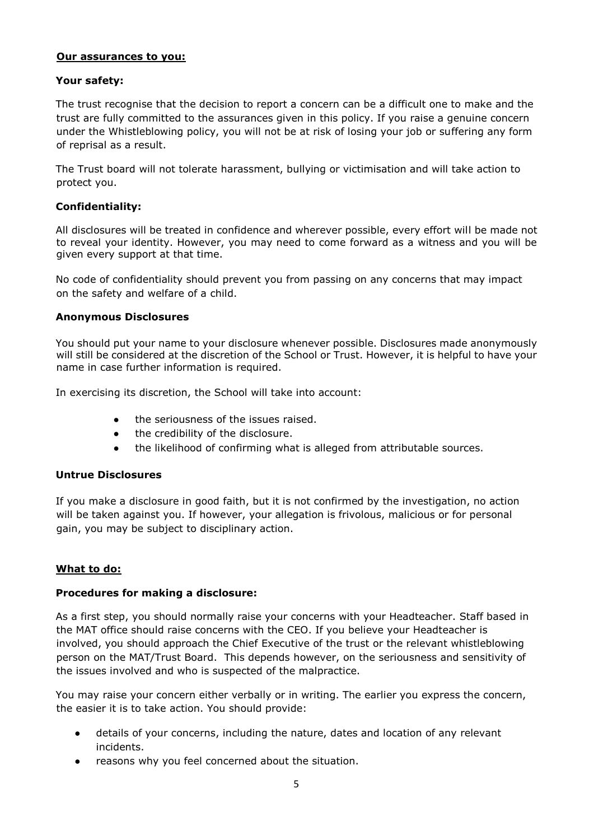#### **Our assurances to you:**

#### **Your safety:**

The trust recognise that the decision to report a concern can be a difficult one to make and the trust are fully committed to the assurances given in this policy. If you raise a genuine concern under the Whistleblowing policy, you will not be at risk of losing your job or suffering any form of reprisal as a result.

The Trust board will not tolerate harassment, bullying or victimisation and will take action to protect you.

#### **Confidentiality:**

All disclosures will be treated in confidence and wherever possible, every effort will be made not to reveal your identity. However, you may need to come forward as a witness and you will be given every support at that time.

No code of confidentiality should prevent you from passing on any concerns that may impact on the safety and welfare of a child.

#### **Anonymous Disclosures**

You should put your name to your disclosure whenever possible. Disclosures made anonymously will still be considered at the discretion of the School or Trust. However, it is helpful to have your name in case further information is required.

In exercising its discretion, the School will take into account:

- the seriousness of the issues raised.
- the credibility of the disclosure.
- the likelihood of confirming what is alleged from attributable sources.

#### **Untrue Disclosures**

If you make a disclosure in good faith, but it is not confirmed by the investigation, no action will be taken against you. If however, your allegation is frivolous, malicious or for personal gain, you may be subject to disciplinary action.

#### **What to do:**

#### **Procedures for making a disclosure:**

As a first step, you should normally raise your concerns with your Headteacher. Staff based in the MAT office should raise concerns with the CEO. If you believe your Headteacher is involved, you should approach the Chief Executive of the trust or the relevant whistleblowing person on the MAT/Trust Board. This depends however, on the seriousness and sensitivity of the issues involved and who is suspected of the malpractice.

You may raise your concern either verbally or in writing. The earlier you express the concern, the easier it is to take action. You should provide:

- details of your concerns, including the nature, dates and location of any relevant incidents.
- reasons why you feel concerned about the situation.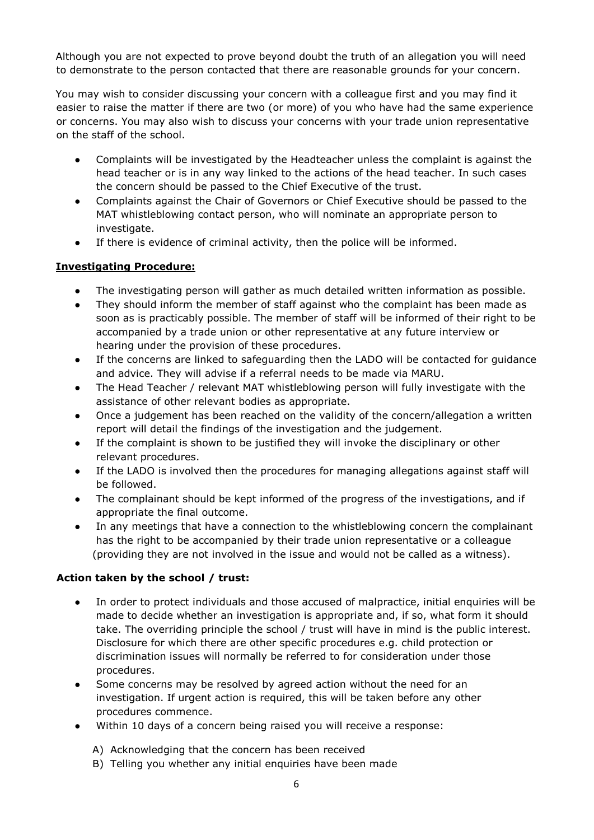Although you are not expected to prove beyond doubt the truth of an allegation you will need to demonstrate to the person contacted that there are reasonable grounds for your concern.

You may wish to consider discussing your concern with a colleague first and you may find it easier to raise the matter if there are two (or more) of you who have had the same experience or concerns. You may also wish to discuss your concerns with your trade union representative on the staff of the school.

- Complaints will be investigated by the Headteacher unless the complaint is against the head teacher or is in any way linked to the actions of the head teacher. In such cases the concern should be passed to the Chief Executive of the trust.
- Complaints against the Chair of Governors or Chief Executive should be passed to the MAT whistleblowing contact person, who will nominate an appropriate person to investigate.
- If there is evidence of criminal activity, then the police will be informed.

### **Investigating Procedure:**

- The investigating person will gather as much detailed written information as possible.
- They should inform the member of staff against who the complaint has been made as soon as is practicably possible. The member of staff will be informed of their right to be accompanied by a trade union or other representative at any future interview or hearing under the provision of these procedures.
- If the concerns are linked to safeguarding then the LADO will be contacted for guidance and advice. They will advise if a referral needs to be made via MARU.
- The Head Teacher / relevant MAT whistleblowing person will fully investigate with the assistance of other relevant bodies as appropriate.
- Once a judgement has been reached on the validity of the concern/allegation a written report will detail the findings of the investigation and the judgement.
- If the complaint is shown to be justified they will invoke the disciplinary or other relevant procedures.
- If the LADO is involved then the procedures for managing allegations against staff will be followed.
- The complainant should be kept informed of the progress of the investigations, and if appropriate the final outcome.
- In any meetings that have a connection to the whistleblowing concern the complainant has the right to be accompanied by their trade union representative or a colleague (providing they are not involved in the issue and would not be called as a witness).

#### **Action taken by the school / trust:**

- In order to protect individuals and those accused of malpractice, initial enquiries will be made to decide whether an investigation is appropriate and, if so, what form it should take. The overriding principle the school / trust will have in mind is the public interest. Disclosure for which there are other specific procedures e.g. child protection or discrimination issues will normally be referred to for consideration under those procedures.
- Some concerns may be resolved by agreed action without the need for an investigation. If urgent action is required, this will be taken before any other procedures commence.
- Within 10 days of a concern being raised you will receive a response:
	- A) Acknowledging that the concern has been received
	- B) Telling you whether any initial enquiries have been made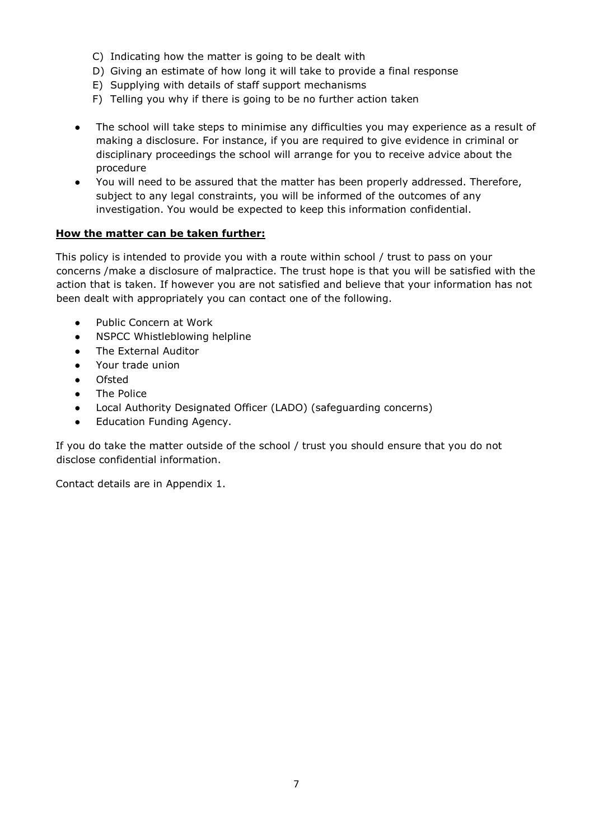- C) Indicating how the matter is going to be dealt with
- D) Giving an estimate of how long it will take to provide a final response
- E) Supplying with details of staff support mechanisms
- F) Telling you why if there is going to be no further action taken
- The school will take steps to minimise any difficulties you may experience as a result of making a disclosure. For instance, if you are required to give evidence in criminal or disciplinary proceedings the school will arrange for you to receive advice about the procedure
- You will need to be assured that the matter has been properly addressed. Therefore, subject to any legal constraints, you will be informed of the outcomes of any investigation. You would be expected to keep this information confidential.

#### **How the matter can be taken further:**

This policy is intended to provide you with a route within school / trust to pass on your concerns /make a disclosure of malpractice. The trust hope is that you will be satisfied with the action that is taken. If however you are not satisfied and believe that your information has not been dealt with appropriately you can contact one of the following.

- Public Concern at Work
- NSPCC Whistleblowing helpline
- The External Auditor
- Your trade union
- **Ofsted**
- The Police
- Local Authority Designated Officer (LADO) (safeguarding concerns)
- Education Funding Agency.

If you do take the matter outside of the school / trust you should ensure that you do not disclose confidential information.

Contact details are in Appendix 1.